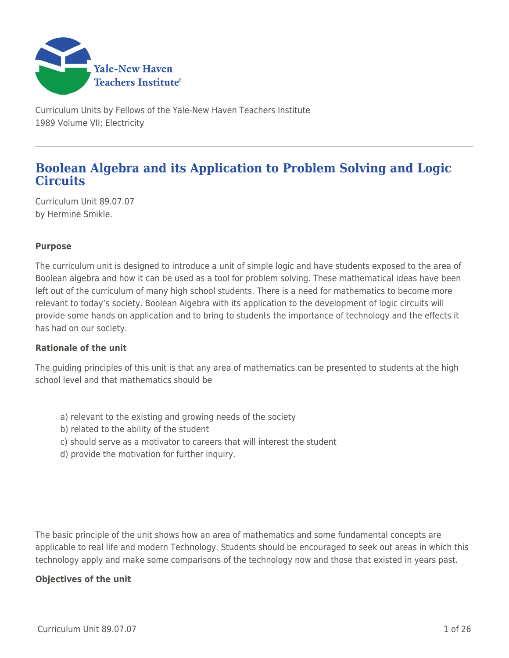

Curriculum Units by Fellows of the Yale-New Haven Teachers Institute 1989 Volume VII: Electricity

# **Boolean Algebra and its Application to Problem Solving and Logic Circuits**

Curriculum Unit 89.07.07 by Hermine Smikle.

## **Purpose**

The curriculum unit is designed to introduce a unit of simple logic and have students exposed to the area of Boolean algebra and how it can be used as a tool for problem solving. These mathematical ideas have been left out of the curriculum of many high school students. There is a need for mathematics to become more relevant to today's society. Boolean Algebra with its application to the development of logic circuits will provide some hands on application and to bring to students the importance of technology and the effects it has had on our society.

### **Rationale of the unit**

The guiding principles of this unit is that any area of mathematics can be presented to students at the high school level and that mathematics should be

- a) relevant to the existing and growing needs of the society
- b) related to the ability of the student
- c) should serve as a motivator to careers that will interest the student
- d) provide the motivation for further inquiry.

The basic principle of the unit shows how an area of mathematics and some fundamental concepts are applicable to real life and modern Technology. Students should be encouraged to seek out areas in which this technology apply and make some comparisons of the technology now and those that existed in years past.

### **Objectives of the unit**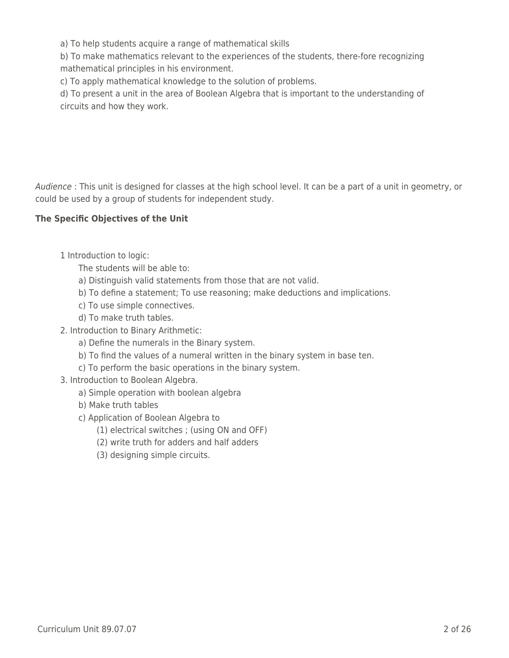a) To help students acquire a range of mathematical skills

b) To make mathematics relevant to the experiences of the students, there-fore recognizing mathematical principles in his environment.

c) To apply mathematical knowledge to the solution of problems.

d) To present a unit in the area of Boolean Algebra that is important to the understanding of circuits and how they work.

Audience : This unit is designed for classes at the high school level. It can be a part of a unit in geometry, or could be used by a group of students for independent study.

## **The Specific Objectives of the Unit**

- 1 Introduction to logic:
	- The students will be able to:
	- a) Distinguish valid statements from those that are not valid.
	- \_\_\_\_ b) To define a statement; To use reasoning; make deductions and implications.
	- c) To use simple connectives.
	- d) To make truth tables.
- 2. Introduction to Binary Arithmetic:
	- a) Define the numerals in the Binary system.
	- b) To find the values of a numeral written in the binary system in base ten.
	- c) To perform the basic operations in the binary system.
- 3. Introduction to Boolean Algebra.
	- a) Simple operation with boolean algebra
	- b) Make truth tables
	- \_\_\_\_ c) Application of Boolean Algebra to
		- (1) electrical switches ; (using ON and OFF)
		- (2) write truth for adders and half adders
		- (3) designing simple circuits.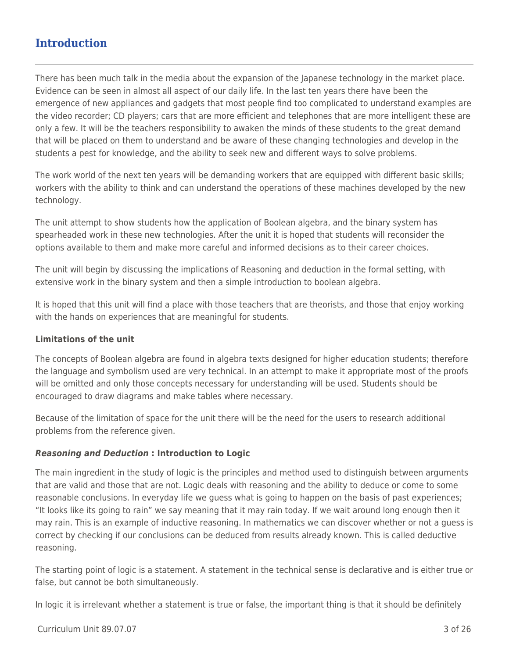# **Introduction**

There has been much talk in the media about the expansion of the Japanese technology in the market place. Evidence can be seen in almost all aspect of our daily life. In the last ten years there have been the emergence of new appliances and gadgets that most people find too complicated to understand examples are the video recorder; CD players; cars that are more efficient and telephones that are more intelligent these are only a few. It will be the teachers responsibility to awaken the minds of these students to the great demand that will be placed on them to understand and be aware of these changing technologies and develop in the students a pest for knowledge, and the ability to seek new and different ways to solve problems.

The work world of the next ten years will be demanding workers that are equipped with different basic skills; workers with the ability to think and can understand the operations of these machines developed by the new technology.

The unit attempt to show students how the application of Boolean algebra, and the binary system has spearheaded work in these new technologies. After the unit it is hoped that students will reconsider the options available to them and make more careful and informed decisions as to their career choices.

The unit will begin by discussing the implications of Reasoning and deduction in the formal setting, with extensive work in the binary system and then a simple introduction to boolean algebra.

It is hoped that this unit will find a place with those teachers that are theorists, and those that enjoy working with the hands on experiences that are meaningful for students.

### **Limitations of the unit**

The concepts of Boolean algebra are found in algebra texts designed for higher education students; therefore the language and symbolism used are very technical. In an attempt to make it appropriate most of the proofs will be omitted and only those concepts necessary for understanding will be used. Students should be encouraged to draw diagrams and make tables where necessary.

Because of the limitation of space for the unit there will be the need for the users to research additional problems from the reference given.

## *Reasoning and Deduction* **: Introduction to Logic**

The main ingredient in the study of logic is the principles and method used to distinguish between arguments that are valid and those that are not. Logic deals with reasoning and the ability to deduce or come to some reasonable conclusions. In everyday life we guess what is going to happen on the basis of past experiences; "It looks like its going to rain" we say meaning that it may rain today. If we wait around long enough then it may rain. This is an example of inductive reasoning. In mathematics we can discover whether or not a guess is correct by checking if our conclusions can be deduced from results already known. This is called deductive reasoning.

The starting point of logic is a statement. A statement in the technical sense is declarative and is either true or false, but cannot be both simultaneously.

In logic it is irrelevant whether a statement is true or false, the important thing is that it should be definitely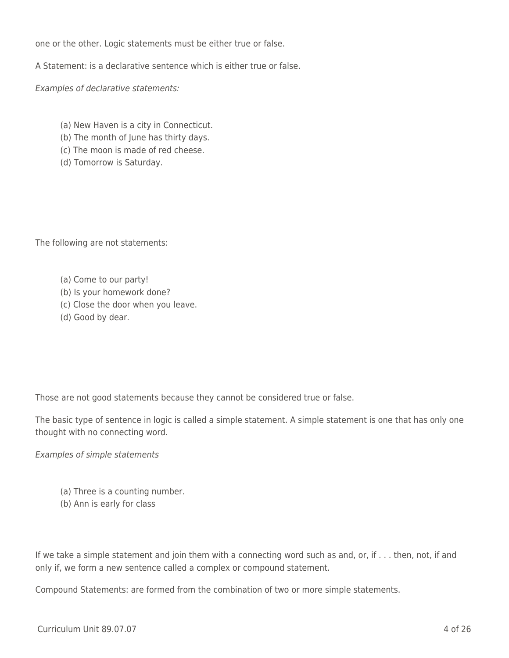one or the other. Logic statements must be either true or false.

A Statement: is a declarative sentence which is either true or false.

Examples of declarative statements:

- (a) New Haven is a city in Connecticut.
- (b) The month of June has thirty days.
- (c) The moon is made of red cheese.
- (d) Tomorrow is Saturday.

The following are not statements:

- (a) Come to our party!
- (b) Is your homework done?
- (c) Close the door when you leave.
- (d) Good by dear.

Those are not good statements because they cannot be considered true or false.

The basic type of sentence in logic is called a simple statement. A simple statement is one that has only one thought with no connecting word.

Examples of simple statements

- (a) Three is a counting number.
- (b) Ann is early for class

If we take a simple statement and join them with a connecting word such as and, or, if . . . then, not, if and only if, we form a new sentence called a complex or compound statement.

Compound Statements: are formed from the combination of two or more simple statements.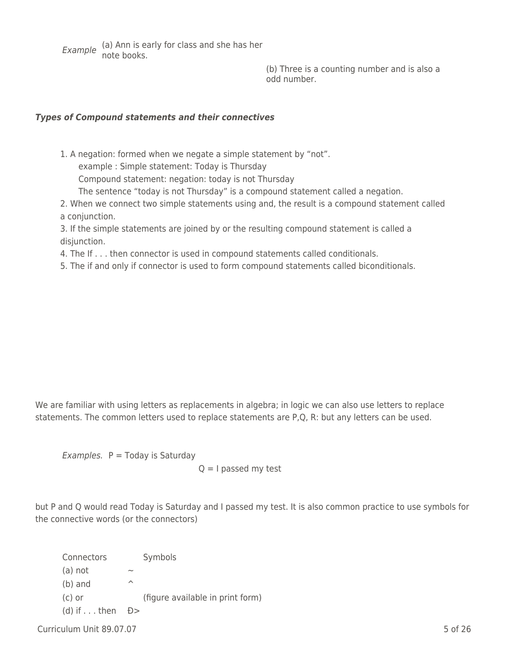Example (a) Ann is early for class and she has her note books.

(b) Three is a counting number and is also a odd number.

## *Types of Compound statements and their connectives*

1. A negation: formed when we negate a simple statement by "not". example : Simple statement: Today is Thursday Compound statement: negation: today is not Thursday The sentence "today is not Thursday" is a compound statement called a negation.

2. When we connect two simple statements using and, the result is a compound statement called a conjunction.

3. If the simple statements are joined by or the resulting compound statement is called a disjunction.

4. The If . . . then connector is used in compound statements called conditionals.

5. The if and only if connector is used to form compound statements called biconditionals.

We are familiar with using letters as replacements in algebra; in logic we can also use letters to replace statements. The common letters used to replace statements are P,Q, R: but any letters can be used.

Examples.  $P = Today$  is Saturday

 $Q = I$  passed my test

but P and Q would read Today is Saturday and I passed my test. It is also common practice to use symbols for the connective words (or the connectors)

Connectors Symbols  $(a)$  not (b) and  $\sim$ (c) or (figure available in print form) (d) if  $\dots$  then  $D >$ 

 $Curriculum$  Unit 89.07.07  $\hspace{1.5cm}$  5 of 26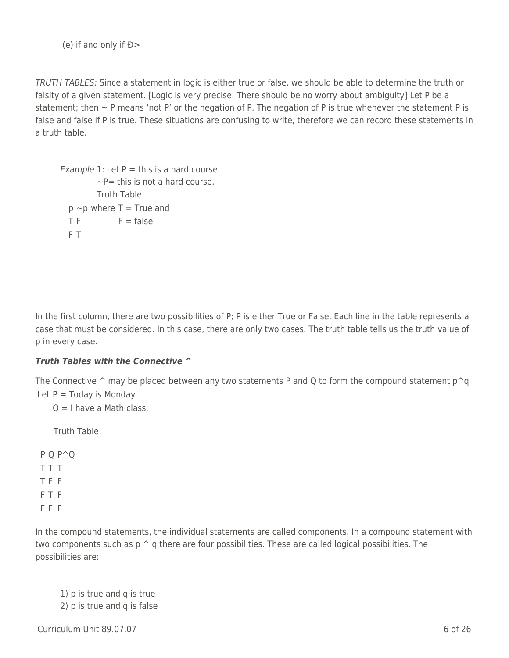(e) if and only if Ð>

TRUTH TABLES: Since a statement in logic is either true or false, we should be able to determine the truth or falsity of a given statement. [Logic is very precise. There should be no worry about ambiguity] Let P be a statement; then  $\sim$  P means 'not P' or the negation of P. The negation of P is true whenever the statement P is false and false if P is true. These situations are confusing to write, therefore we can record these statements in a truth table.

```
Example 1: Let P = this is a hard course.
        -P = this is not a hard course.
        Truth Table
 p \sim p where T = True and
 TF = falseF T
```
In the first column, there are two possibilities of P; P is either True or False. Each line in the table represents a case that must be considered. In this case, there are only two cases. The truth table tells us the truth value of p in every case.

## *Truth Tables with the Connective* **^**

The Connective  $\hat{ }$  may be placed between any two statements P and Q to form the compound statement p $\hat{ }$ q Let  $P = \text{Today is Monday}$ 

 $Q = I$  have a Math class.

\_\_\_\_ Truth Table

P Q P^Q T T T T F F F T F F F F

In the compound statements, the individual statements are called components. In a compound statement with two components such as  $p \uparrow q$  there are four possibilities. These are called logical possibilities. The possibilities are:

1) p is true and q is true 2) p is true and q is false

 $Curir$  Unit 89.07.07 6 of 26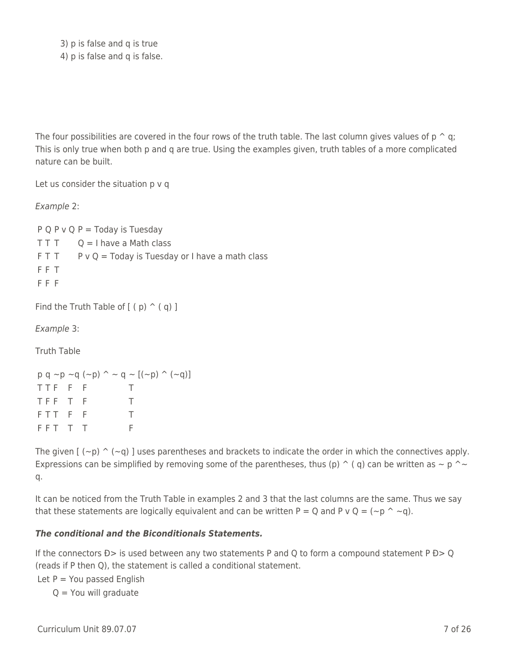3) p is false and q is true 4) p is false and q is false.

The four possibilities are covered in the four rows of the truth table. The last column gives values of  $p \uparrow q$ ; This is only true when both p and q are true. Using the examples given, truth tables of a more complicated nature can be built.

Let us consider the situation p v q

Example 2:

 $P Q P V Q P = T \cdot Q$  is Tuesday  $T T T$  Q = I have a Math class  $FT$  T P v Q = Today is Tuesday or I have a math class F F T F F F

Find the Truth Table of  $[$  ( $p$ )  $\hat{ }$  ( $q$ ) ]

Example 3:

Truth Table

```
p q \sim p \sim q (-p) \sim q \sim [(-p) ( \sim q)]
TTF F F T
TFF T F T
F T T F F T
F F T T F
```
The given  $[(-p) \cap (-q)]$  uses parentheses and brackets to indicate the order in which the connectives apply. Expressions can be simplified by removing some of the parentheses, thus (p)  $\hat{ }$  (q) can be written as  $\sim$  p  $\hat{ }$   $\sim$ q.

It can be noticed from the Truth Table in examples 2 and 3 that the last columns are the same. Thus we say that these statements are logically equivalent and can be written P = Q and P v Q = (~p ^ ~q).

### *The conditional and the Biconditionals Statements.*

If the connectors  $D>$  is used between any two statements P and Q to form a compound statement P  $D>Q$ (reads if P then Q), the statement is called a conditional statement.

Let  $P = You$  passed English

 $Q =$  You will graduate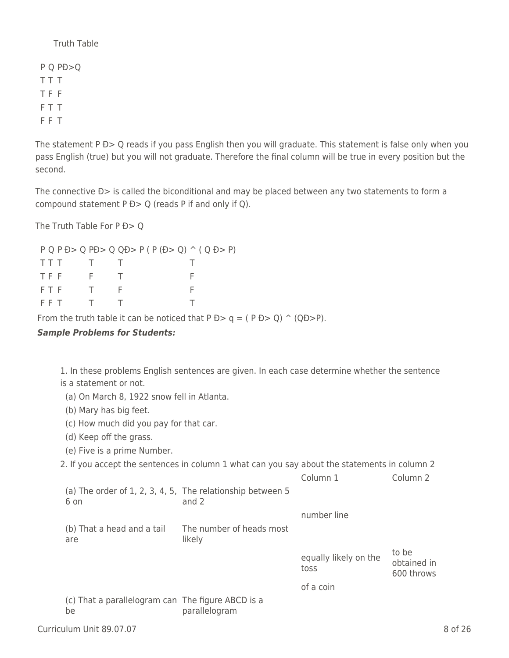Truth Table

P Q PÐ>Q T T T T F F F T T F F T

The statement P D> Q reads if you pass English then you will graduate. This statement is false only when you pass English (true) but you will not graduate. Therefore the final column will be true in every position but the second.

The connective  $D$  is called the biconditional and may be placed between any two statements to form a compound statement  $P D > Q$  (reads P if and only if Q).

The Truth Table For P Đ > 0

P Q P Ð> Q PÐ> Q QÐ> P ( P (Ð> Q) ^ ( Q Ð> P) TTT T T T TFF F T F F T F F F FFT T T T

From the truth table it can be noticed that  $P D > q = (P D > Q) \cap (Q D > P)$ .

## *Sample Problems for Students:*

1. In these problems English sentences are given. In each case determine whether the sentence is a statement or not.

- (a) On March 8, 1922 snow fell in Atlanta.
- (b) Mary has big feet.
- (c) How much did you pay for that car.
- (d) Keep off the grass.
- (e) Five is a prime Number.

2. If you accept the sentences in column 1 what can you say about the statements in column 2

|                                                                       |                                    | Column 1                      | Column <sub>2</sub>                |
|-----------------------------------------------------------------------|------------------------------------|-------------------------------|------------------------------------|
| (a) The order of $1, 2, 3, 4, 5$ , The relationship between 5<br>6 on | and 2                              |                               |                                    |
|                                                                       |                                    | number line                   |                                    |
| (b) That a head and a tail<br>are                                     | The number of heads most<br>likely |                               |                                    |
|                                                                       |                                    |                               |                                    |
|                                                                       |                                    | equally likely on the<br>toss | to be<br>obtained in<br>600 throws |
|                                                                       |                                    | of a coin                     |                                    |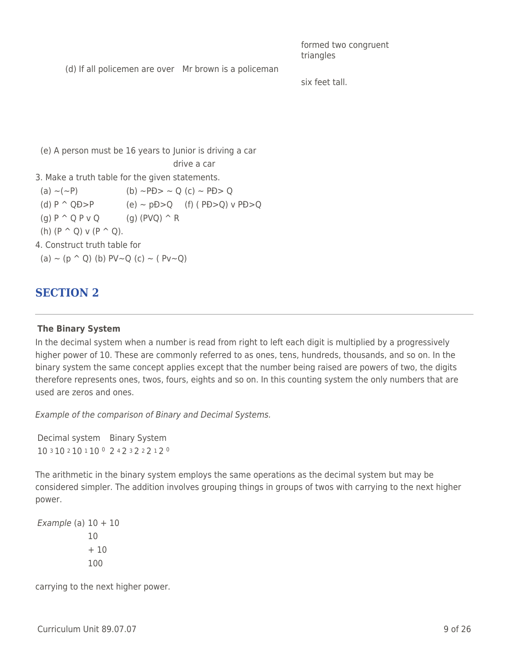formed two congruent triangles

(d) If all policemen are over Mr brown is a policeman

six feet tall.

(e) A person must be 16 years to Junior is driving a car

drive a car

3. Make a truth table for the given statements.

(a)  $\sim$ ( $\sim$ P) (b)  $\sim$ PÐ $>$   $\sim$  Q (c)  $\sim$  PÐ $>$  Q (d)  $P \cap QD > P$  (e) ~ p $D > Q$  (f) (P $D > Q$ ) v  $PD > Q$ (g)  $P^{\wedge} Q P V Q$  (g)  $(PVQ)^{\wedge} R$ (h)  $(P \cap Q)$  v  $(P \cap Q)$ . 4. Construct truth table for (a)  $\sim$  (p  $\sim$  Q) (b) PV~Q (c)  $\sim$  ( Pv~Q)

# **SECTION 2**

## **The Binary System**

In the decimal system when a number is read from right to left each digit is multiplied by a progressively higher power of 10. These are commonly referred to as ones, tens, hundreds, thousands, and so on. In the binary system the same concept applies except that the number being raised are powers of two, the digits therefore represents ones, twos, fours, eights and so on. In this counting system the only numbers that are used are zeros and ones.

Example of the comparison of Binary and Decimal Systems.

Decimal system Binary System 10 3 10 2 10 1 10 <sup>0</sup> 2 4 2 3 2 2 2 1 2 <sup>0</sup>

The arithmetic in the binary system employs the same operations as the decimal system but may be considered simpler. The addition involves grouping things in groups of twos with carrying to the next higher power.

Example (a)  $10 + 10$ 10  $+10$ 100

carrying to the next higher power.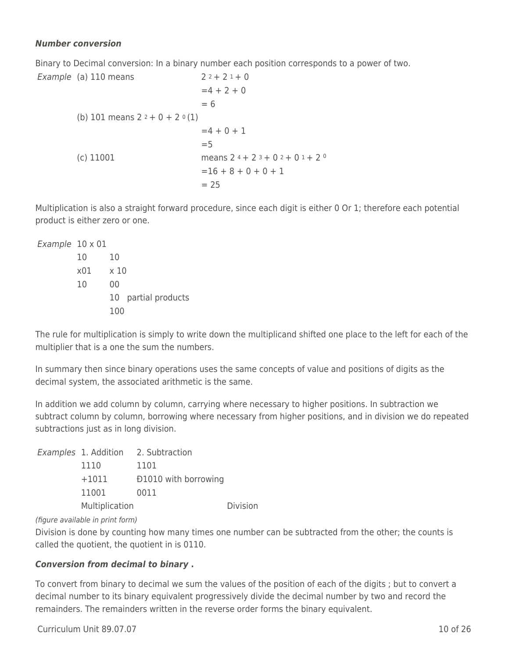### *Number conversion*

Example

Binary to Decimal conversion: In a binary number each position corresponds to a power of two.

| $(a)$ 110 means                  | $22+21+0$                      |
|----------------------------------|--------------------------------|
|                                  | $= 4 + 2 + 0$                  |
|                                  | $= 6$                          |
| (b) 101 means $2^2 + 0 + 2^0(1)$ |                                |
|                                  | $= 4 + 0 + 1$                  |
|                                  | $=$ 5                          |
| (c) 11001                        | means $24 + 23 + 02 + 01 + 20$ |
|                                  | $=16 + 8 + 0 + 0 + 1$          |
|                                  | $= 25$                         |

Multiplication is also a straight forward procedure, since each digit is either 0 Or 1; therefore each potential product is either zero or one.

| Example 10 x 01 |     |      |                     |
|-----------------|-----|------|---------------------|
|                 | 10  | 10   |                     |
|                 | x01 | x 10 |                     |
|                 | 10  | 00   |                     |
|                 |     |      | 10 partial products |
|                 |     | 100  |                     |

The rule for multiplication is simply to write down the multiplicand shifted one place to the left for each of the multiplier that is a one the sum the numbers.

In summary then since binary operations uses the same concepts of value and positions of digits as the decimal system, the associated arithmetic is the same.

In addition we add column by column, carrying where necessary to higher positions. In subtraction we subtract column by column, borrowing where necessary from higher positions, and in division we do repeated subtractions just as in long division.

|                | Examples 1. Addition 2. Subtraction |          |
|----------------|-------------------------------------|----------|
| 1110           | 1101                                |          |
| $+1011$        | <b>D1010</b> with borrowing         |          |
| 11001          | 0011                                |          |
| Multiplication |                                     | Division |

(figure available in print form)

Division is done by counting how many times one number can be subtracted from the other; the counts is called the quotient, the quotient in is 0110.

## *Conversion from decimal to binary* **.**

To convert from binary to decimal we sum the values of the position of each of the digits ; but to convert a decimal number to its binary equivalent progressively divide the decimal number by two and record the remainders. The remainders written in the reverse order forms the binary equivalent.

 $Curir$  Unit 89.07.07 10 of 26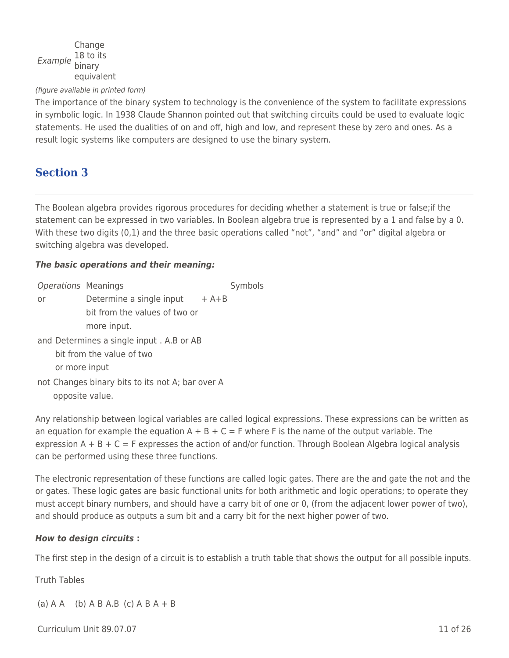#### Example 18 to its Change binary equivalent

#### (figure available in printed form)

The importance of the binary system to technology is the convenience of the system to facilitate expressions in symbolic logic. In 1938 Claude Shannon pointed out that switching circuits could be used to evaluate logic statements. He used the dualities of on and off, high and low, and represent these by zero and ones. As a result logic systems like computers are designed to use the binary system.

## **Section 3**

The Boolean algebra provides rigorous procedures for deciding whether a statement is true or false;if the statement can be expressed in two variables. In Boolean algebra true is represented by a 1 and false by a 0. With these two digits (0,1) and the three basic operations called "not", "and" and "or" digital algebra or switching algebra was developed.

### *The basic operations and their meaning:*

| Operations Meanings |                                                                     | Symbols |
|---------------------|---------------------------------------------------------------------|---------|
| or                  | Determine a single input $+$ A+B                                    |         |
|                     | bit from the values of two or                                       |         |
|                     | more input.                                                         |         |
|                     | and Determines a single input. A.B or AB                            |         |
|                     | bit from the value of two                                           |         |
| or more input       |                                                                     |         |
|                     | not Changes binary bits to its not A; bar over A<br>opposite value. |         |

Any relationship between logical variables are called logical expressions. These expressions can be written as an equation for example the equation  $A + B + C = F$  where F is the name of the output variable. The expression  $A + B + C = F$  expresses the action of and/or function. Through Boolean Algebra logical analysis can be performed using these three functions.

The electronic representation of these functions are called logic gates. There are the and gate the not and the or gates. These logic gates are basic functional units for both arithmetic and logic operations; to operate they must accept binary numbers, and should have a carry bit of one or 0, (from the adjacent lower power of two), and should produce as outputs a sum bit and a carry bit for the next higher power of two.

### *How to design circuits* **:**

The first step in the design of a circuit is to establish a truth table that shows the output for all possible inputs.

Truth Tables

(a) A A (b) A B A.B (c) A B  $A + B$ 

Curriculum Unit 89.07.07 11 of 26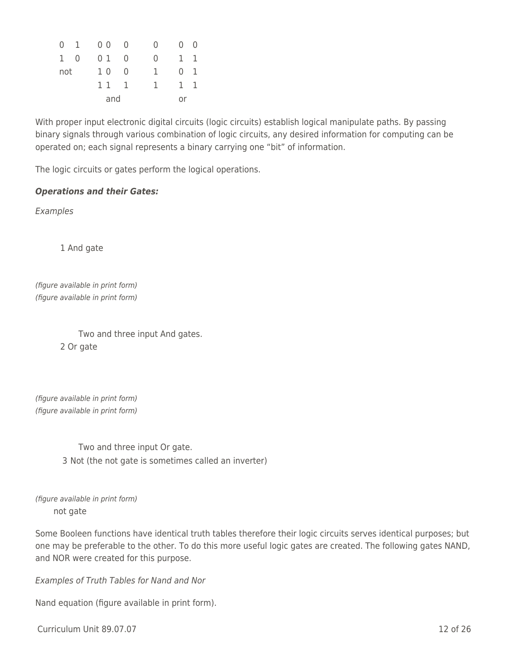|            | $0$ 1 0 0 |     | $\overline{0}$ | $\left( \right)$ | $0 \quad 0$  |                |
|------------|-----------|-----|----------------|------------------|--------------|----------------|
| $1\quad 0$ |           | 0 1 | $\overline{0}$ | O                | $\mathbf{1}$ | $\overline{1}$ |
| not        |           | 10  | - 0            | ı.               | $\Omega$     | -1             |
|            |           | 11  | - 1            | Т.               | 1.           | -1             |
|            |           | and |                |                  | or           |                |

With proper input electronic digital circuits (logic circuits) establish logical manipulate paths. By passing binary signals through various combination of logic circuits, any desired information for computing can be operated on; each signal represents a binary carrying one "bit" of information.

The logic circuits or gates perform the logical operations.

## *Operations and their Gates:*

Examples

1 And gate

(figure available in print form) (figure available in print form)

> Two and three input And gates. 2 Or gate

(figure available in print form) (figure available in print form)

> Two and three input Or gate. 3 Not (the not gate is sometimes called an inverter)

(figure available in print form) \_\_\_\_ not gate

Some Booleen functions have identical truth tables therefore their logic circuits serves identical purposes; but one may be preferable to the other. To do this more useful logic gates are created. The following gates NAND, and NOR were created for this purpose.

Examples of Truth Tables for Nand and Nor

Nand equation (figure available in print form).

 $Curir$  Unit 89.07.07 12 of 26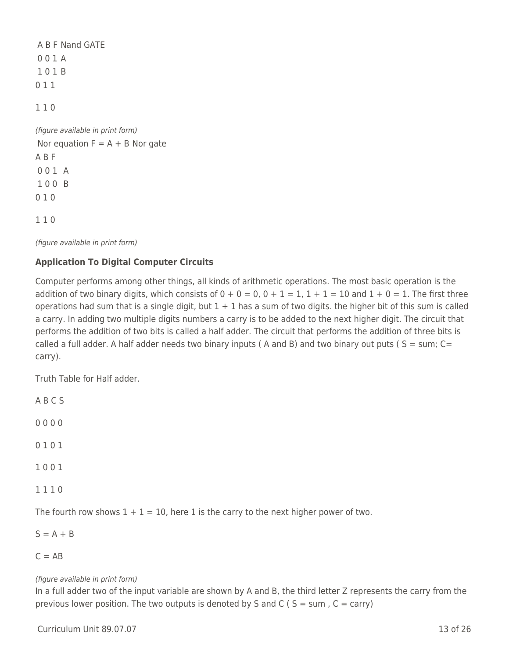A B F Nand GATE 0 0 1 A 1 0 1 B 0 1 1 1 1 0 (figure available in print form) Nor equation  $F = A + B$  Nor gate A B F 0 0 1 A 1 0 0 B 0 1 0

1 1 0

(figure available in print form)

## **Application To Digital Computer Circuits**

Computer performs among other things, all kinds of arithmetic operations. The most basic operation is the addition of two binary digits, which consists of  $0 + 0 = 0$ ,  $0 + 1 = 1$ ,  $1 + 1 = 10$  and  $1 + 0 = 1$ . The first three operations had sum that is a single digit, but  $1 + 1$  has a sum of two digits. the higher bit of this sum is called a carry. In adding two multiple digits numbers a carry is to be added to the next higher digit. The circuit that performs the addition of two bits is called a half adder. The circuit that performs the addition of three bits is called a full adder. A half adder needs two binary inputs (A and B) and two binary out puts ( $S = sum$ ;  $C =$ carry).

Truth Table for Half adder.

A B C S 0 0 0 0

- 0 1 0 1
- 1 0 0 1
- 1 1 1 0

The fourth row shows  $1 + 1 = 10$ , here 1 is the carry to the next higher power of two.

 $S = A + B$ 

 $C = AB$ 

## (figure available in print form)

In a full adder two of the input variable are shown by A and B, the third letter Z represents the carry from the previous lower position. The two outputs is denoted by S and C (  $S = sum$  ,  $C = carry$ )

 $Curir$  Unit 89.07.07 13 of 26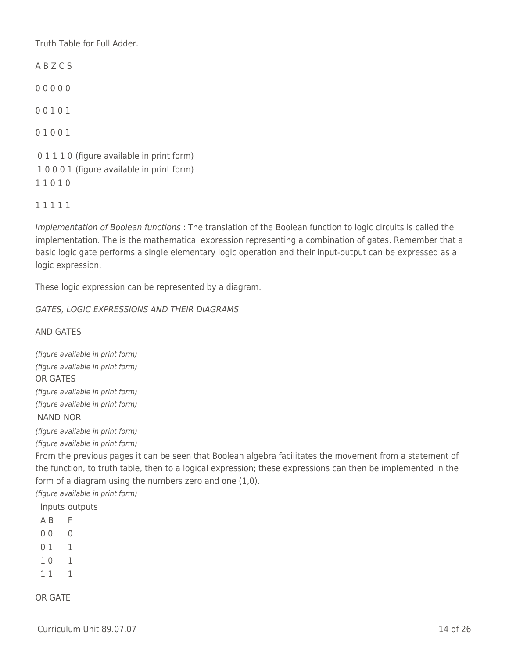Truth Table for Full Adder.

A B Z C S 0 0 0 0 0 0 0 1 0 1 0 1 0 0 1 0 1 1 1 0 (figure available in print form) 1 0 0 0 1 (figure available in print form) 1 1 0 1 0

1 1 1 1 1

Implementation of Boolean functions : The translation of the Boolean function to logic circuits is called the implementation. The is the mathematical expression representing a combination of gates. Remember that a basic logic gate performs a single elementary logic operation and their input-output can be expressed as a logic expression.

These logic expression can be represented by a diagram.

GATES, LOGIC EXPRESSIONS AND THEIR DIAGRAMS

AND GATES

(figure available in print form) (figure available in print form) OR GATES (figure available in print form) (figure available in print form) NAND NOR

(figure available in print form)

(figure available in print form)

From the previous pages it can be seen that Boolean algebra facilitates the movement from a statement of the function, to truth table, then to a logical expression; these expressions can then be implemented in the form of a diagram using the numbers zero and one (1,0).

(figure available in print form)

Inputs outputs

- A B F
- 0 0 0
- 0 1 1
- 1 0 1
- 1 1 1

OR GATE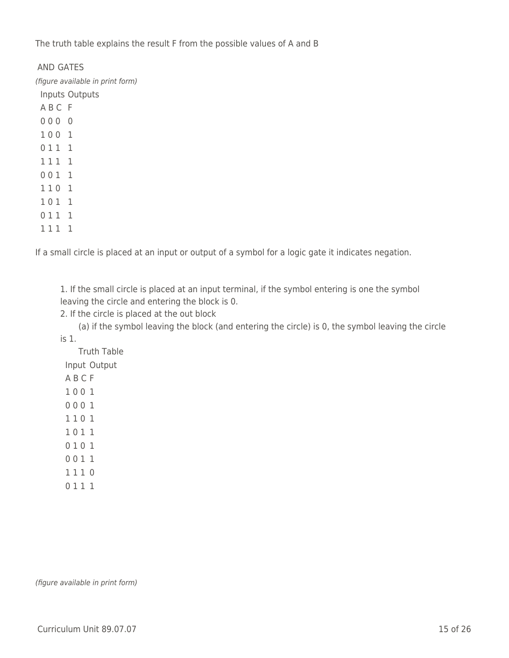The truth table explains the result F from the possible values of A and B

### AND GATES

(figure available in print form) Inputs Outputs

1 1 1 1

If a small circle is placed at an input or output of a symbol for a logic gate it indicates negation.

1. If the small circle is placed at an input terminal, if the symbol entering is one the symbol leaving the circle and entering the block is 0.

2. If the circle is placed at the out block

\_\_\_\_ (a) if the symbol leaving the block (and entering the circle) is 0, the symbol leaving the circle is 1.

\_\_\_\_ Truth Table

Input Output

A B C F

- 1 0 0 1
- 0 0 0 1

1 1 0 1

1 0 1 1

- 0 1 0 1
- 0 0 1 1
- 1 1 1 0
- 0 1 1 1

(figure available in print form)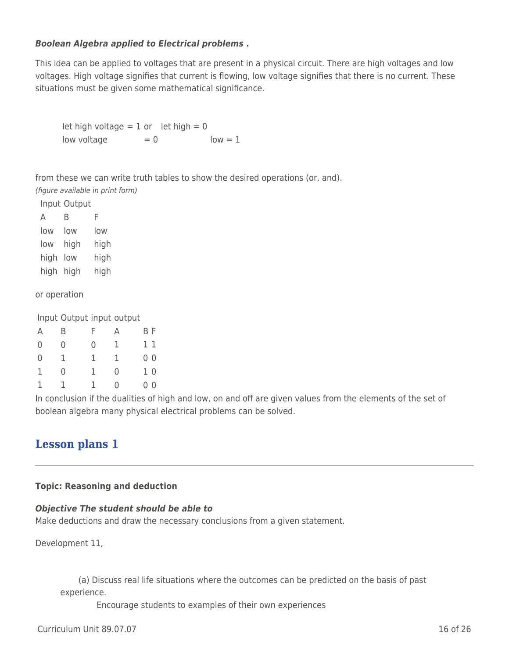## *Boolean Algebra applied to Electrical problems* **.**

This idea can be applied to voltages that are present in a physical circuit. There are high voltages and low voltages. High voltage signifies that current is flowing, low voltage signifies that there is no current. These situations must be given some mathematical significance.

let high voltage  $= 1$  or let high  $= 0$  $low$  voltage  $= 0$   $low = 1$ 

from these we can write truth tables to show the desired operations (or, and).

(figure available in print form)

Input Output

| А         | R    | F    |
|-----------|------|------|
| low       | low  | low  |
| low       | high | high |
| high      | low  | high |
| high high |      | high |

or operation

Input Output input output

| А              | Β | F | А | BF             |
|----------------|---|---|---|----------------|
| $\mathbf 0$    | 0 | 0 | 1 | 11             |
| $\overline{0}$ | 1 | 1 | 1 | 0 <sub>0</sub> |
| 1              | 0 | 1 | 0 | 10             |
| 1              |   | ı | U | 0 <sup>0</sup> |

In conclusion if the dualities of high and low, on and off are given values from the elements of the set of boolean algebra many physical electrical problems can be solved.

## **Lesson plans 1**

### **Topic: Reasoning and deduction**

### *Objective The student should be able to*

Make deductions and draw the necessary conclusions from a given statement.

Development 11,

(a) Discuss real life situations where the outcomes can be predicted on the basis of past experience.

Encourage students to examples of their own experiences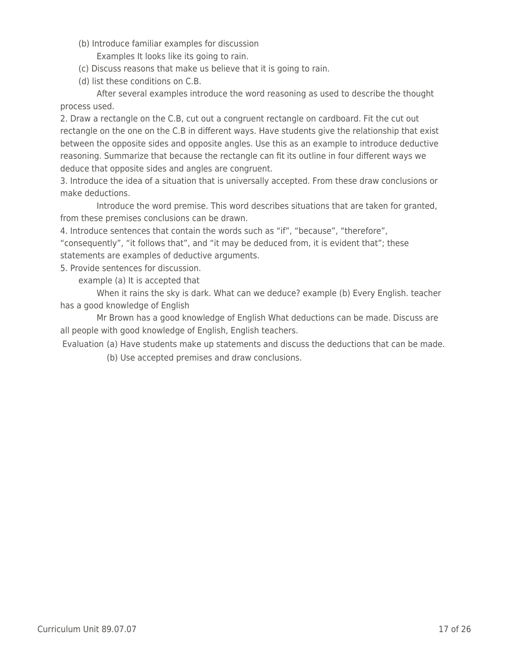- (b) Introduce familiar examples for discussion Examples It looks like its going to rain.
- \_\_\_\_ (c) Discuss reasons that make us believe that it is going to rain.
- \_\_\_\_ (d) list these conditions on C.B.

After several examples introduce the word reasoning as used to describe the thought process used.

2. Draw a rectangle on the C.B, cut out a congruent rectangle on cardboard. Fit the cut out rectangle on the one on the C.B in different ways. Have students give the relationship that exist between the opposite sides and opposite angles. Use this as an example to introduce deductive reasoning. Summarize that because the rectangle can fit its outline in four different ways we deduce that opposite sides and angles are congruent.

3. Introduce the idea of a situation that is universally accepted. From these draw conclusions or make deductions.

Introduce the word premise. This word describes situations that are taken for granted, from these premises conclusions can be drawn.

4. Introduce sentences that contain the words such as "if", "because", "therefore",

"consequently", "it follows that", and "it may be deduced from, it is evident that"; these statements are examples of deductive arguments.

5. Provide sentences for discussion.

example (a) It is accepted that

When it rains the sky is dark. What can we deduce? example (b) Every English. teacher has a good knowledge of English

Mr Brown has a good knowledge of English What deductions can be made. Discuss are all people with good knowledge of English, English teachers.

Evaluation (a) Have students make up statements and discuss the deductions that can be made.

(b) Use accepted premises and draw conclusions.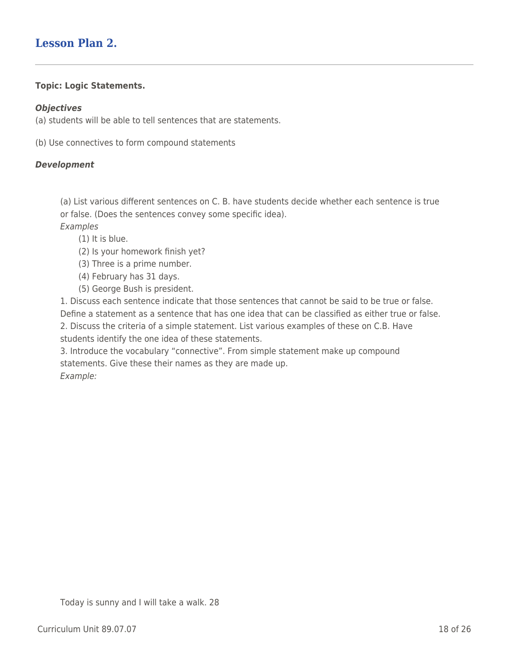# **Lesson Plan 2.**

## **Topic: Logic Statements.**

### *Objectives*

(a) students will be able to tell sentences that are statements.

(b) Use connectives to form compound statements

## *Development*

(a) List various different sentences on C. B. have students decide whether each sentence is true or false. (Does the sentences convey some specific idea). Examples

- $(1)$  It is blue.
- (2) Is your homework finish yet?
- (3) Three is a prime number.
- (4) February has 31 days.
- \_\_\_\_ (5) George Bush is president.

1. Discuss each sentence indicate that those sentences that cannot be said to be true or false. Define a statement as a sentence that has one idea that can be classified as either true or false. 2. Discuss the criteria of a simple statement. List various examples of these on C.B. Have students identify the one idea of these statements.

3. Introduce the vocabulary "connective". From simple statement make up compound statements. Give these their names as they are made up. Example: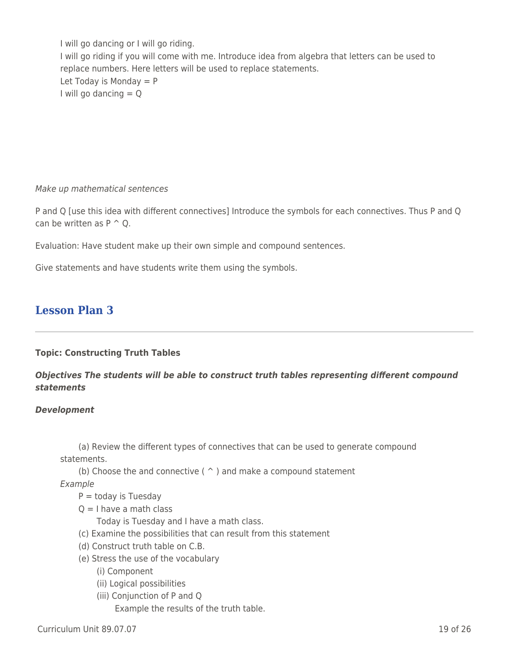I will go dancing or I will go riding. I will go riding if you will come with me. Introduce idea from algebra that letters can be used to replace numbers. Here letters will be used to replace statements. Let Today is Monday  $= P$ I will go dancing  $=$  Q

Make up mathematical sentences

P and Q [use this idea with different connectives] Introduce the symbols for each connectives. Thus P and Q can be written as  $P \cap Q$ .

Evaluation: Have student make up their own simple and compound sentences.

Give statements and have students write them using the symbols.

# **Lesson Plan 3**

## **Topic: Constructing Truth Tables**

*Objectives The students will be able to construct truth tables representing different compound statements*

### *Development*

(a) Review the different types of connectives that can be used to generate compound statements.

(b) Choose the and connective ( $\hat{ }$ ) and make a compound statement

Example

 $P =$  today is Tuesday

 $Q = I$  have a math class

Today is Tuesday and I have a math class.

- \_\_\_\_ (c) Examine the possibilities that can result from this statement
- (d) Construct truth table on C.B.
- \_\_\_\_ (e) Stress the use of the vocabulary
	- \_\_\_\_ \_\_\_\_ (i) Component
	- \_\_\_\_ \_\_\_\_ (ii) Logical possibilities
	- (iii) Conjunction of P and Q

Example the results of the truth table.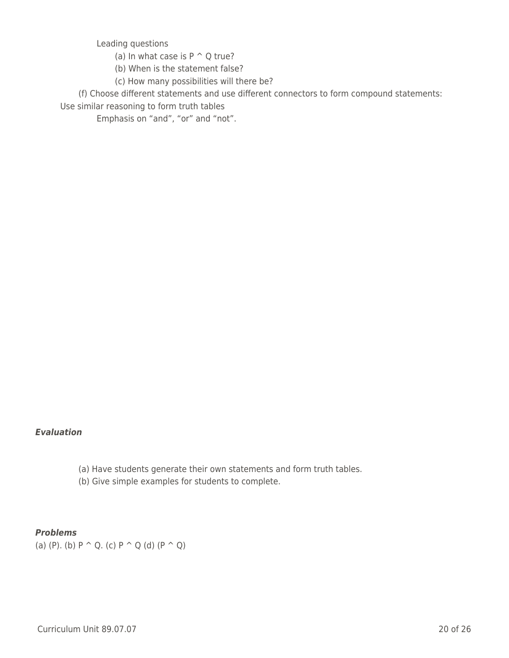Leading questions

- (a) In what case is  $P \cap Q$  true?
- (b) When is the statement false?
- (c) How many possibilities will there be?

\_\_\_\_ (f) Choose different statements and use different connectors to form compound statements:

Use similar reasoning to form truth tables

Emphasis on "and", "or" and "not".

### *Evaluation*

- (a) Have students generate their own statements and form truth tables.
- (b) Give simple examples for students to complete.

## *Problems*

(a) (P). (b)  $P \cap Q$ . (c)  $P \cap Q$  (d)  $(P \cap Q)$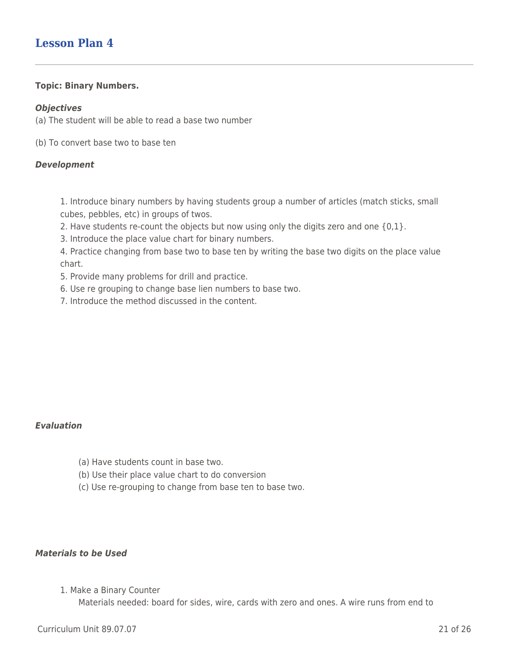## **Lesson Plan 4**

#### **Topic: Binary Numbers.**

#### *Objectives*

(a) The student will be able to read a base two number

(b) To convert base two to base ten

#### *Development*

1. Introduce binary numbers by having students group a number of articles (match sticks, small cubes, pebbles, etc) in groups of twos.

- 2. Have students re-count the objects but now using only the digits zero and one {0,1}.
- 3. Introduce the place value chart for binary numbers.

4. Practice changing from base two to base ten by writing the base two digits on the place value chart.

- 5. Provide many problems for drill and practice.
- 6. Use re grouping to change base lien numbers to base two.
- 7. Introduce the method discussed in the content.

### *Evaluation*

- (a) Have students count in base two.
- (b) Use their place value chart to do conversion
- \_\_\_\_ (c) Use re-grouping to change from base ten to base two.

## *Materials to be Used*

1. Make a Binary Counter

Materials needed: board for sides, wire, cards with zero and ones. A wire runs from end to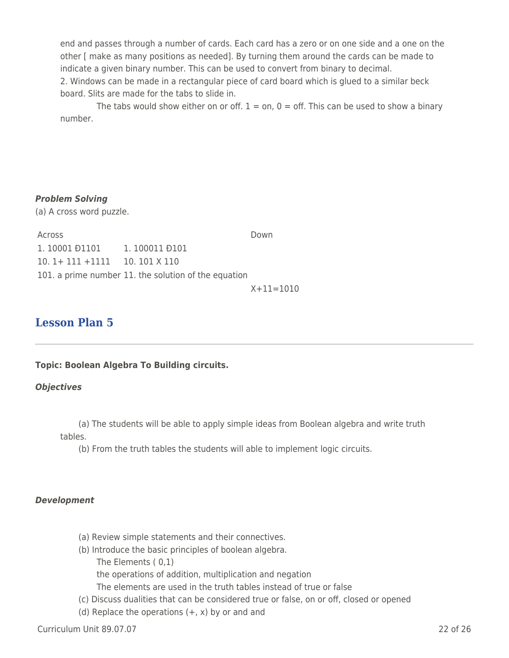end and passes through a number of cards. Each card has a zero or on one side and a one on the other [ make as many positions as needed]. By turning them around the cards can be made to indicate a given binary number. This can be used to convert from binary to decimal. 2. Windows can be made in a rectangular piece of card board which is glued to a similar beck board. Slits are made for the tabs to slide in.

The tabs would show either on or off.  $1 =$  on,  $0 =$  off. This can be used to show a binary number.

## *Problem Solving*

(a) A cross word puzzle.

Across Down 1.10001 <del>D</del>1101 1.100011 <del>D</del>101 10. 1+ 111 +1111 10. 101 X 110 101. a prime number 11. the solution of the equation

 $X + 11 = 1010$ 

# **Lesson Plan 5**

### **Topic: Boolean Algebra To Building circuits.**

### *Objectives*

(a) The students will be able to apply simple ideas from Boolean algebra and write truth tables.

(b) From the truth tables the students will able to implement logic circuits.

### *Development*

- (a) Review simple statements and their connectives.
- (b) Introduce the basic principles of boolean algebra.
	- The Elements  $( 0,1)$

the operations of addition, multiplication and negation

The elements are used in the truth tables instead of true or false

- \_\_\_\_ (c) Discuss dualities that can be considered true or false, on or off, closed or opened
- (d) Replace the operations  $(+, x)$  by or and and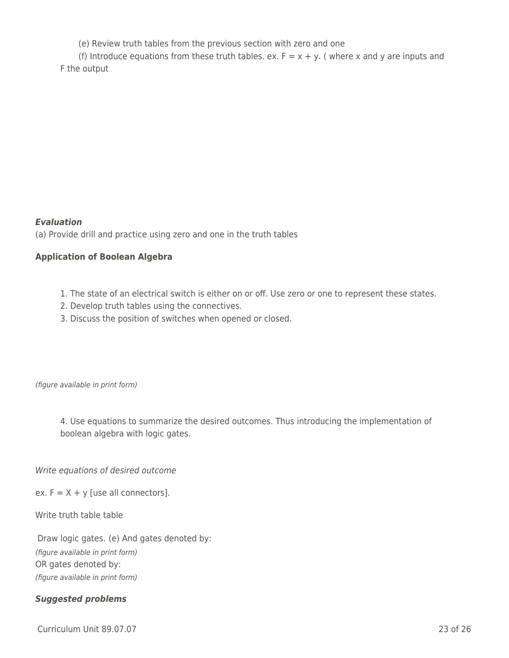(e) Review truth tables from the previous section with zero and one

(f) Introduce equations from these truth tables. ex.  $F = x + y$ . (where x and y are inputs and F the output

## *Evaluation*

(a) Provide drill and practice using zero and one in the truth tables

## **Application of Boolean Algebra**

- 1. The state of an electrical switch is either on or off. Use zero or one to represent these states.
- 2. Develop truth tables using the connectives.
- 3. Discuss the position of switches when opened or closed.

(figure available in print form)

4. Use equations to summarize the desired outcomes. Thus introducing the implementation of boolean algebra with logic gates.

Write equations of desired outcome

ex.  $F = X + y$  [use all connectors].

Write truth table table

Draw logic gates. (e) And gates denoted by: (figure available in print form) OR gates denoted by: (figure available in print form)

## *Suggested problems*

Curriculum Unit 89.07.07 23 of 26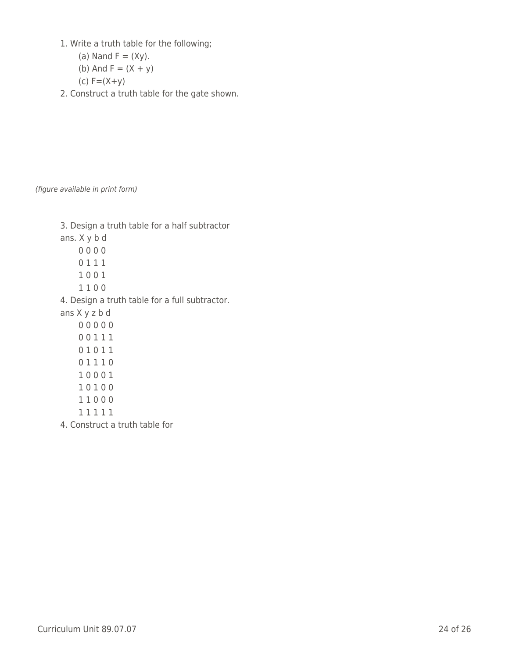1. Write a truth table for the following;

(a) Nand 
$$
F = (Xy)
$$
.

(b) And 
$$
F = (X + y)
$$

$$
(c) F = (X + y)
$$

2. Construct a truth table for the gate shown.

(figure available in print form)

| 3. Design a truth table for a half subtractor  |
|------------------------------------------------|
| ans. X y b d                                   |
| 0000                                           |
| 0111                                           |
| 1001                                           |
| 1100                                           |
| 4. Design a truth table for a full subtractor. |
| ans X y z b d                                  |
| 00000                                          |
| 00111                                          |
| 01011                                          |
| 01110                                          |
| 10001                                          |
| 10100                                          |
| 11000                                          |
| 11111                                          |
| 4. Construct a truth table for                 |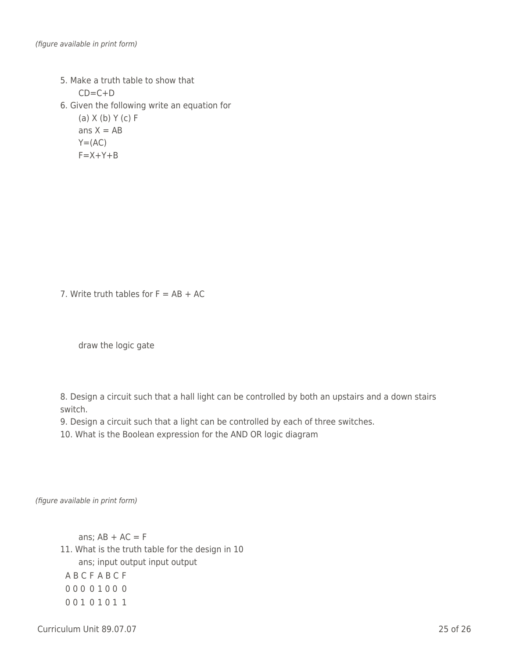- 5. Make a truth table to show that  $CD=C+D$
- 6. Given the following write an equation for

 $(a)$  X (b) Y (c) F ans  $X = AB$  $Y=(AC)$  $F = X + Y + B$ 

7. Write truth tables for  $F = AB + AC$ 

draw the logic gate

8. Design a circuit such that a hall light can be controlled by both an upstairs and a down stairs switch.

9. Design a circuit such that a light can be controlled by each of three switches.

10. What is the Boolean expression for the AND OR logic diagram

(figure available in print form)

ans;  $AB + AC = F$ 11. What is the truth table for the design in 10 ans; input output input output A B C F A B C F 0 0 0 0 1 0 0 0 0 0 1 0 1 0 1 1